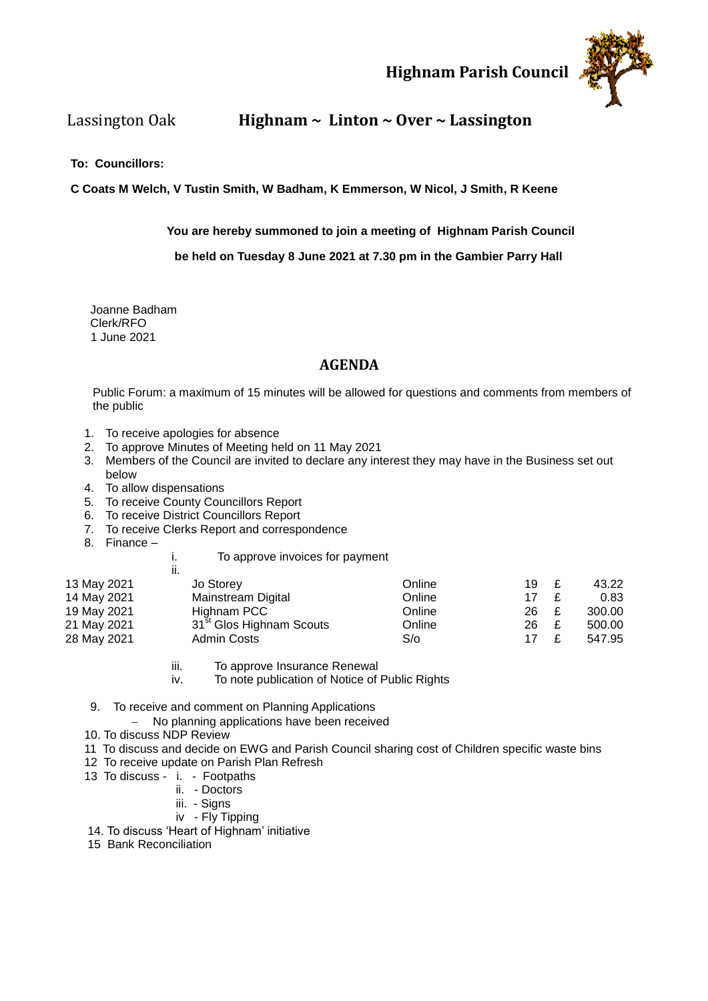#### **Highnam Parish Council**



### Lassington Oak **Highnam ~ Linton ~ Over ~ Lassington**

#### **To: Councillors:**

**C Coats M Welch, V Tustin Smith, W Badham, K Emmerson, W Nicol, J Smith, R Keene**

**You are hereby summoned to join a meeting of Highnam Parish Council**

 **be held on Tuesday 8 June 2021 at 7.30 pm in the Gambier Parry Hall**

 Joanne Badham Clerk/RFO 1 June 2021

#### **AGENDA**

Public Forum: a maximum of 15 minutes will be allowed for questions and comments from members of the public

- 1. To receive apologies for absence
- 2. To approve Minutes of Meeting held on 11 May 2021
- 3. Members of the Council are invited to declare any interest they may have in the Business set out below
- 4. To allow dispensations
- 5. To receive County Councillors Report
- 6. To receive District Councillors Report
- 7. To receive Clerks Report and correspondence
- 8. Finance –

i. To approve invoices for payment

|             | ii.                                  |        |    |              |        |
|-------------|--------------------------------------|--------|----|--------------|--------|
| 13 May 2021 | Jo Storey                            | Online | 19 | $\mathbf{f}$ | 43.22  |
| 14 May 2021 | Mainstream Digital                   | Online | 17 | £            | 0.83   |
| 19 May 2021 | Highnam PCC                          | Online | 26 | £            | 300.00 |
| 21 May 2021 | 31 <sup>st</sup> Glos Highnam Scouts | Online | 26 | £            | 500.00 |
| 28 May 2021 | <b>Admin Costs</b>                   | S/O    | 17 | £            | 547.95 |

- iii. To approve Insurance Renewal
- iv. To note publication of Notice of Public Rights
- 9. To receive and comment on Planning Applications
	- No planning applications have been received
- 10. To discuss NDP Review
- 11 To discuss and decide on EWG and Parish Council sharing cost of Children specific waste bins
- 12 To receive update on Parish Plan Refresh
- 13 To discuss i. Footpaths
	- ii. Doctors
	- iii. Signs
	- iv Fly Tipping
- 14. To discuss 'Heart of Highnam' initiative
- 15 Bank Reconciliation